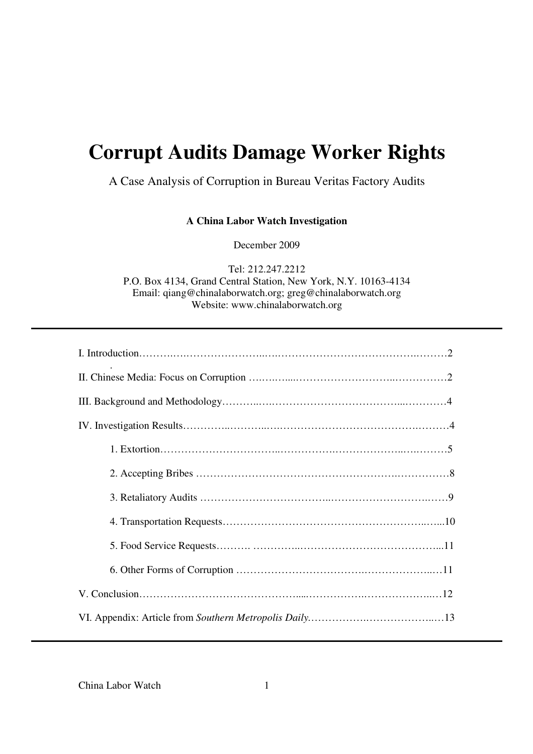# **Corrupt Audits Damage Worker Rights**

# A Case Analysis of Corruption in Bureau Veritas Factory Audits

**A China Labor Watch Investigation** 

December 2009

Tel: 212.247.2212 P.O. Box 4134, Grand Central Station, New York, N.Y. 10163-4134 Email: qiang@chinalaborwatch.org; greg@chinalaborwatch.org Website: www.chinalaborwatch.org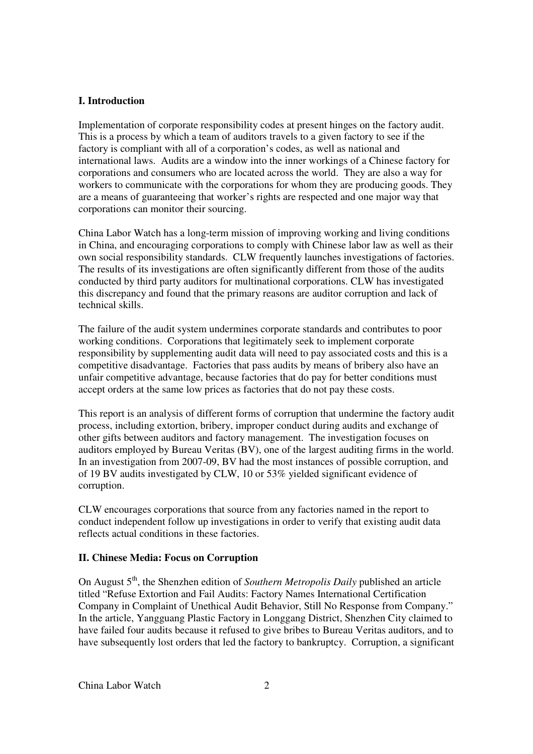## **I. Introduction**

Implementation of corporate responsibility codes at present hinges on the factory audit. This is a process by which a team of auditors travels to a given factory to see if the factory is compliant with all of a corporation's codes, as well as national and international laws. Audits are a window into the inner workings of a Chinese factory for corporations and consumers who are located across the world. They are also a way for workers to communicate with the corporations for whom they are producing goods. They are a means of guaranteeing that worker's rights are respected and one major way that corporations can monitor their sourcing.

China Labor Watch has a long-term mission of improving working and living conditions in China, and encouraging corporations to comply with Chinese labor law as well as their own social responsibility standards. CLW frequently launches investigations of factories. The results of its investigations are often significantly different from those of the audits conducted by third party auditors for multinational corporations. CLW has investigated this discrepancy and found that the primary reasons are auditor corruption and lack of technical skills.

The failure of the audit system undermines corporate standards and contributes to poor working conditions. Corporations that legitimately seek to implement corporate responsibility by supplementing audit data will need to pay associated costs and this is a competitive disadvantage. Factories that pass audits by means of bribery also have an unfair competitive advantage, because factories that do pay for better conditions must accept orders at the same low prices as factories that do not pay these costs.

This report is an analysis of different forms of corruption that undermine the factory audit process, including extortion, bribery, improper conduct during audits and exchange of other gifts between auditors and factory management. The investigation focuses on auditors employed by Bureau Veritas (BV), one of the largest auditing firms in the world. In an investigation from 2007-09, BV had the most instances of possible corruption, and of 19 BV audits investigated by CLW, 10 or 53% yielded significant evidence of corruption.

CLW encourages corporations that source from any factories named in the report to conduct independent follow up investigations in order to verify that existing audit data reflects actual conditions in these factories.

# **II. Chinese Media: Focus on Corruption**

On August 5<sup>th</sup>, the Shenzhen edition of *Southern Metropolis Daily* published an article titled "Refuse Extortion and Fail Audits: Factory Names International Certification Company in Complaint of Unethical Audit Behavior, Still No Response from Company." In the article, Yangguang Plastic Factory in Longgang District, Shenzhen City claimed to have failed four audits because it refused to give bribes to Bureau Veritas auditors, and to have subsequently lost orders that led the factory to bankruptcy. Corruption, a significant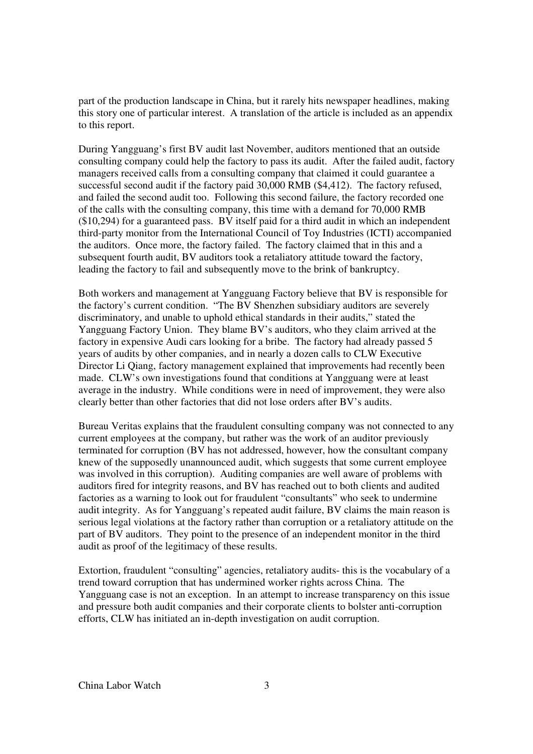part of the production landscape in China, but it rarely hits newspaper headlines, making this story one of particular interest. A translation of the article is included as an appendix to this report.

During Yangguang's first BV audit last November, auditors mentioned that an outside consulting company could help the factory to pass its audit. After the failed audit, factory managers received calls from a consulting company that claimed it could guarantee a successful second audit if the factory paid 30,000 RMB (\$4,412). The factory refused, and failed the second audit too. Following this second failure, the factory recorded one of the calls with the consulting company, this time with a demand for 70,000 RMB (\$10,294) for a guaranteed pass. BV itself paid for a third audit in which an independent third-party monitor from the International Council of Toy Industries (ICTI) accompanied the auditors. Once more, the factory failed. The factory claimed that in this and a subsequent fourth audit, BV auditors took a retaliatory attitude toward the factory, leading the factory to fail and subsequently move to the brink of bankruptcy.

Both workers and management at Yangguang Factory believe that BV is responsible for the factory's current condition. "The BV Shenzhen subsidiary auditors are severely discriminatory, and unable to uphold ethical standards in their audits," stated the Yangguang Factory Union. They blame BV's auditors, who they claim arrived at the factory in expensive Audi cars looking for a bribe. The factory had already passed 5 years of audits by other companies, and in nearly a dozen calls to CLW Executive Director Li Qiang, factory management explained that improvements had recently been made. CLW's own investigations found that conditions at Yangguang were at least average in the industry. While conditions were in need of improvement, they were also clearly better than other factories that did not lose orders after BV's audits.

Bureau Veritas explains that the fraudulent consulting company was not connected to any current employees at the company, but rather was the work of an auditor previously terminated for corruption (BV has not addressed, however, how the consultant company knew of the supposedly unannounced audit, which suggests that some current employee was involved in this corruption). Auditing companies are well aware of problems with auditors fired for integrity reasons, and BV has reached out to both clients and audited factories as a warning to look out for fraudulent "consultants" who seek to undermine audit integrity. As for Yangguang's repeated audit failure, BV claims the main reason is serious legal violations at the factory rather than corruption or a retaliatory attitude on the part of BV auditors. They point to the presence of an independent monitor in the third audit as proof of the legitimacy of these results.

Extortion, fraudulent "consulting" agencies, retaliatory audits- this is the vocabulary of a trend toward corruption that has undermined worker rights across China. The Yangguang case is not an exception. In an attempt to increase transparency on this issue and pressure both audit companies and their corporate clients to bolster anti-corruption efforts, CLW has initiated an in-depth investigation on audit corruption.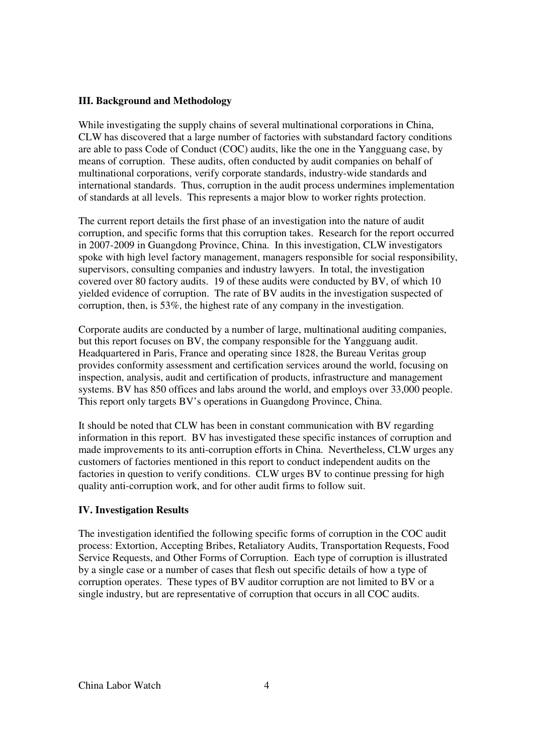### **III. Background and Methodology**

While investigating the supply chains of several multinational corporations in China, CLW has discovered that a large number of factories with substandard factory conditions are able to pass Code of Conduct (COC) audits, like the one in the Yangguang case, by means of corruption. These audits, often conducted by audit companies on behalf of multinational corporations, verify corporate standards, industry-wide standards and international standards. Thus, corruption in the audit process undermines implementation of standards at all levels. This represents a major blow to worker rights protection.

The current report details the first phase of an investigation into the nature of audit corruption, and specific forms that this corruption takes. Research for the report occurred in 2007-2009 in Guangdong Province, China. In this investigation, CLW investigators spoke with high level factory management, managers responsible for social responsibility, supervisors, consulting companies and industry lawyers. In total, the investigation covered over 80 factory audits. 19 of these audits were conducted by BV, of which 10 yielded evidence of corruption. The rate of BV audits in the investigation suspected of corruption, then, is 53%, the highest rate of any company in the investigation.

Corporate audits are conducted by a number of large, multinational auditing companies, but this report focuses on BV, the company responsible for the Yangguang audit. Headquartered in Paris, France and operating since 1828, the Bureau Veritas group provides conformity assessment and certification services around the world, focusing on inspection, analysis, audit and certification of products, infrastructure and management systems. BV has 850 offices and labs around the world, and employs over 33,000 people. This report only targets BV's operations in Guangdong Province, China.

It should be noted that CLW has been in constant communication with BV regarding information in this report. BV has investigated these specific instances of corruption and made improvements to its anti-corruption efforts in China. Nevertheless, CLW urges any customers of factories mentioned in this report to conduct independent audits on the factories in question to verify conditions. CLW urges BV to continue pressing for high quality anti-corruption work, and for other audit firms to follow suit.

# **IV. Investigation Results**

The investigation identified the following specific forms of corruption in the COC audit process: Extortion, Accepting Bribes, Retaliatory Audits, Transportation Requests, Food Service Requests, and Other Forms of Corruption. Each type of corruption is illustrated by a single case or a number of cases that flesh out specific details of how a type of corruption operates. These types of BV auditor corruption are not limited to BV or a single industry, but are representative of corruption that occurs in all COC audits.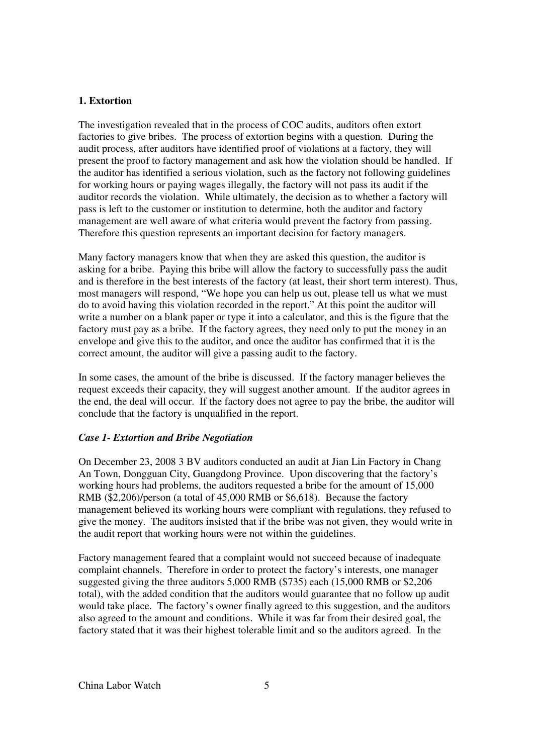### **1. Extortion**

The investigation revealed that in the process of COC audits, auditors often extort factories to give bribes. The process of extortion begins with a question. During the audit process, after auditors have identified proof of violations at a factory, they will present the proof to factory management and ask how the violation should be handled. If the auditor has identified a serious violation, such as the factory not following guidelines for working hours or paying wages illegally, the factory will not pass its audit if the auditor records the violation. While ultimately, the decision as to whether a factory will pass is left to the customer or institution to determine, both the auditor and factory management are well aware of what criteria would prevent the factory from passing. Therefore this question represents an important decision for factory managers.

Many factory managers know that when they are asked this question, the auditor is asking for a bribe. Paying this bribe will allow the factory to successfully pass the audit and is therefore in the best interests of the factory (at least, their short term interest). Thus, most managers will respond, "We hope you can help us out, please tell us what we must do to avoid having this violation recorded in the report." At this point the auditor will write a number on a blank paper or type it into a calculator, and this is the figure that the factory must pay as a bribe. If the factory agrees, they need only to put the money in an envelope and give this to the auditor, and once the auditor has confirmed that it is the correct amount, the auditor will give a passing audit to the factory.

In some cases, the amount of the bribe is discussed. If the factory manager believes the request exceeds their capacity, they will suggest another amount. If the auditor agrees in the end, the deal will occur. If the factory does not agree to pay the bribe, the auditor will conclude that the factory is unqualified in the report.

### *Case 1- Extortion and Bribe Negotiation*

On December 23, 2008 3 BV auditors conducted an audit at Jian Lin Factory in Chang An Town, Dongguan City, Guangdong Province. Upon discovering that the factory's working hours had problems, the auditors requested a bribe for the amount of 15,000 RMB (\$2,206)/person (a total of 45,000 RMB or \$6,618). Because the factory management believed its working hours were compliant with regulations, they refused to give the money. The auditors insisted that if the bribe was not given, they would write in the audit report that working hours were not within the guidelines.

Factory management feared that a complaint would not succeed because of inadequate complaint channels. Therefore in order to protect the factory's interests, one manager suggested giving the three auditors 5,000 RMB (\$735) each (15,000 RMB or \$2,206 total), with the added condition that the auditors would guarantee that no follow up audit would take place. The factory's owner finally agreed to this suggestion, and the auditors also agreed to the amount and conditions. While it was far from their desired goal, the factory stated that it was their highest tolerable limit and so the auditors agreed. In the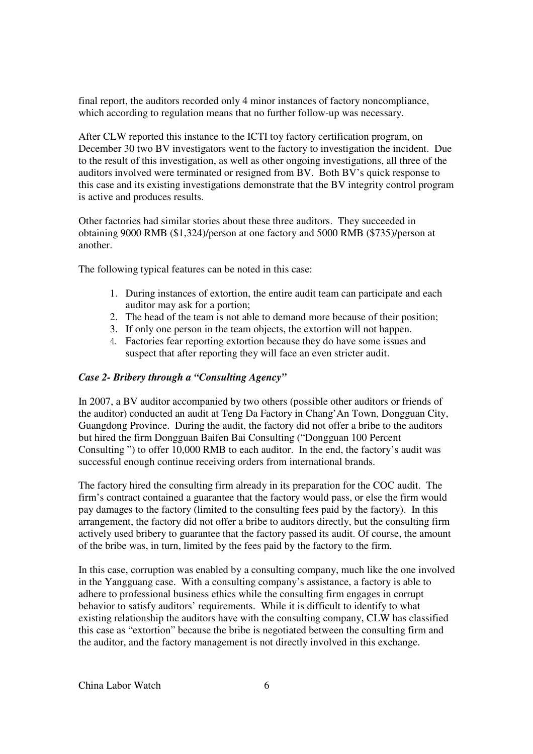final report, the auditors recorded only 4 minor instances of factory noncompliance, which according to regulation means that no further follow-up was necessary.

After CLW reported this instance to the ICTI toy factory certification program, on December 30 two BV investigators went to the factory to investigation the incident. Due to the result of this investigation, as well as other ongoing investigations, all three of the auditors involved were terminated or resigned from BV. Both BV's quick response to this case and its existing investigations demonstrate that the BV integrity control program is active and produces results.

Other factories had similar stories about these three auditors. They succeeded in obtaining 9000 RMB (\$1,324)/person at one factory and 5000 RMB (\$735)/person at another.

The following typical features can be noted in this case:

- 1. During instances of extortion, the entire audit team can participate and each auditor may ask for a portion;
- 2. The head of the team is not able to demand more because of their position;
- 3. If only one person in the team objects, the extortion will not happen.
- Factories fear reporting extortion because they do have some issues and suspect that after reporting they will face an even stricter audit.

### *Case 2- Bribery through a "Consulting Agency"*

In 2007, a BV auditor accompanied by two others (possible other auditors or friends of the auditor) conducted an audit at Teng Da Factory in Chang'An Town, Dongguan City, Guangdong Province. During the audit, the factory did not offer a bribe to the auditors but hired the firm Dongguan Baifen Bai Consulting ("Dongguan 100 Percent Consulting ") to offer 10,000 RMB to each auditor. In the end, the factory's audit was successful enough continue receiving orders from international brands.

The factory hired the consulting firm already in its preparation for the COC audit. The firm's contract contained a guarantee that the factory would pass, or else the firm would pay damages to the factory (limited to the consulting fees paid by the factory). In this arrangement, the factory did not offer a bribe to auditors directly, but the consulting firm actively used bribery to guarantee that the factory passed its audit. Of course, the amount of the bribe was, in turn, limited by the fees paid by the factory to the firm.

In this case, corruption was enabled by a consulting company, much like the one involved in the Yangguang case. With a consulting company's assistance, a factory is able to adhere to professional business ethics while the consulting firm engages in corrupt behavior to satisfy auditors' requirements. While it is difficult to identify to what existing relationship the auditors have with the consulting company, CLW has classified this case as "extortion" because the bribe is negotiated between the consulting firm and the auditor, and the factory management is not directly involved in this exchange.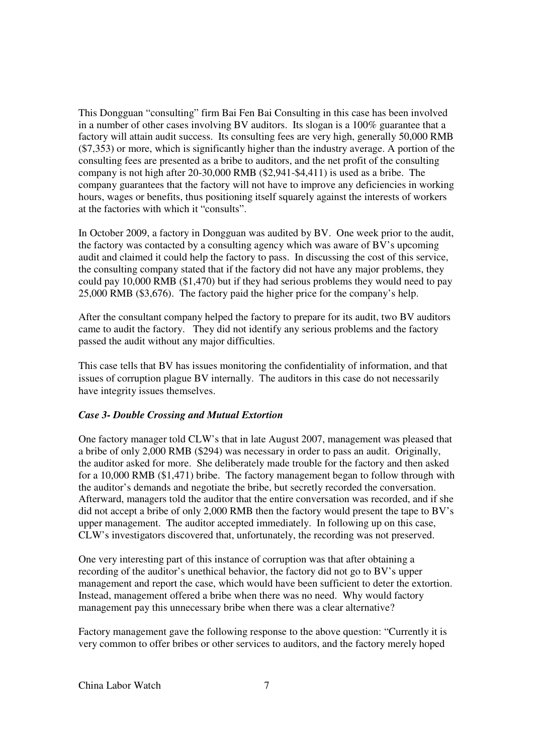This Dongguan "consulting" firm Bai Fen Bai Consulting in this case has been involved in a number of other cases involving BV auditors. Its slogan is a 100% guarantee that a factory will attain audit success. Its consulting fees are very high, generally 50,000 RMB (\$7,353) or more, which is significantly higher than the industry average. A portion of the consulting fees are presented as a bribe to auditors, and the net profit of the consulting company is not high after 20-30,000 RMB (\$2,941-\$4,411) is used as a bribe. The company guarantees that the factory will not have to improve any deficiencies in working hours, wages or benefits, thus positioning itself squarely against the interests of workers at the factories with which it "consults".

In October 2009, a factory in Dongguan was audited by BV. One week prior to the audit, the factory was contacted by a consulting agency which was aware of BV's upcoming audit and claimed it could help the factory to pass. In discussing the cost of this service, the consulting company stated that if the factory did not have any major problems, they could pay 10,000 RMB (\$1,470) but if they had serious problems they would need to pay 25,000 RMB (\$3,676). The factory paid the higher price for the company's help.

After the consultant company helped the factory to prepare for its audit, two BV auditors came to audit the factory. They did not identify any serious problems and the factory passed the audit without any major difficulties.

This case tells that BV has issues monitoring the confidentiality of information, and that issues of corruption plague BV internally. The auditors in this case do not necessarily have integrity issues themselves.

#### *Case 3- Double Crossing and Mutual Extortion*

One factory manager told CLW's that in late August 2007, management was pleased that a bribe of only 2,000 RMB (\$294) was necessary in order to pass an audit. Originally, the auditor asked for more. She deliberately made trouble for the factory and then asked for a 10,000 RMB (\$1,471) bribe. The factory management began to follow through with the auditor's demands and negotiate the bribe, but secretly recorded the conversation. Afterward, managers told the auditor that the entire conversation was recorded, and if she did not accept a bribe of only 2,000 RMB then the factory would present the tape to BV's upper management. The auditor accepted immediately. In following up on this case, CLW's investigators discovered that, unfortunately, the recording was not preserved.

One very interesting part of this instance of corruption was that after obtaining a recording of the auditor's unethical behavior, the factory did not go to BV's upper management and report the case, which would have been sufficient to deter the extortion. Instead, management offered a bribe when there was no need. Why would factory management pay this unnecessary bribe when there was a clear alternative?

Factory management gave the following response to the above question: "Currently it is very common to offer bribes or other services to auditors, and the factory merely hoped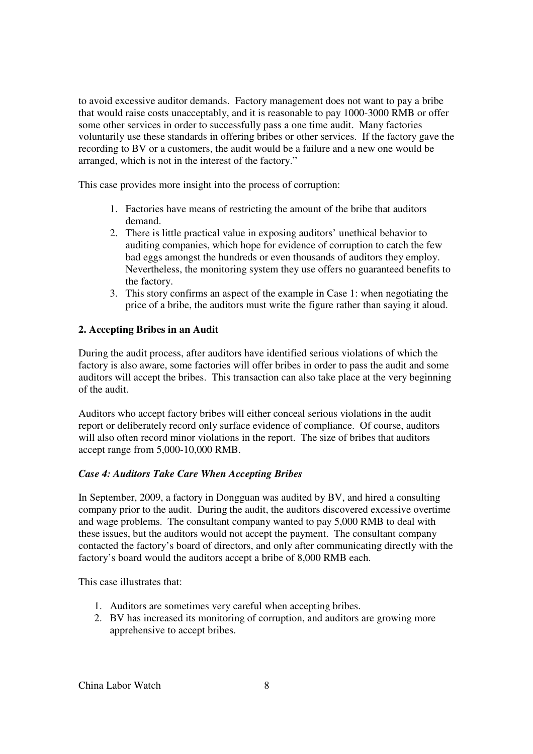to avoid excessive auditor demands. Factory management does not want to pay a bribe that would raise costs unacceptably, and it is reasonable to pay 1000-3000 RMB or offer some other services in order to successfully pass a one time audit. Many factories voluntarily use these standards in offering bribes or other services. If the factory gave the recording to BV or a customers, the audit would be a failure and a new one would be arranged, which is not in the interest of the factory."

This case provides more insight into the process of corruption:

- 1. Factories have means of restricting the amount of the bribe that auditors demand.
- 2. There is little practical value in exposing auditors' unethical behavior to auditing companies, which hope for evidence of corruption to catch the few bad eggs amongst the hundreds or even thousands of auditors they employ. Nevertheless, the monitoring system they use offers no guaranteed benefits to the factory.
- 3. This story confirms an aspect of the example in Case 1: when negotiating the price of a bribe, the auditors must write the figure rather than saying it aloud.

### **2. Accepting Bribes in an Audit**

During the audit process, after auditors have identified serious violations of which the factory is also aware, some factories will offer bribes in order to pass the audit and some auditors will accept the bribes. This transaction can also take place at the very beginning of the audit.

Auditors who accept factory bribes will either conceal serious violations in the audit report or deliberately record only surface evidence of compliance. Of course, auditors will also often record minor violations in the report. The size of bribes that auditors accept range from 5,000-10,000 RMB.

### *Case 4: Auditors Take Care When Accepting Bribes*

In September, 2009, a factory in Dongguan was audited by BV, and hired a consulting company prior to the audit. During the audit, the auditors discovered excessive overtime and wage problems. The consultant company wanted to pay 5,000 RMB to deal with these issues, but the auditors would not accept the payment. The consultant company contacted the factory's board of directors, and only after communicating directly with the factory's board would the auditors accept a bribe of 8,000 RMB each.

This case illustrates that:

- 1. Auditors are sometimes very careful when accepting bribes.
- 2. BV has increased its monitoring of corruption, and auditors are growing more apprehensive to accept bribes.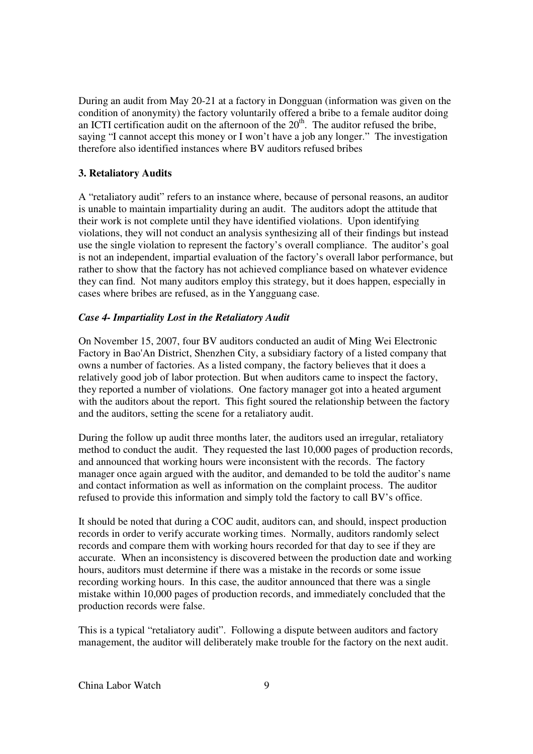During an audit from May 20-21 at a factory in Dongguan (information was given on the condition of anonymity) the factory voluntarily offered a bribe to a female auditor doing an ICTI certification audit on the afternoon of the  $20<sup>th</sup>$ . The auditor refused the bribe, saying "I cannot accept this money or I won't have a job any longer." The investigation therefore also identified instances where BV auditors refused bribes

## **3. Retaliatory Audits**

A "retaliatory audit" refers to an instance where, because of personal reasons, an auditor is unable to maintain impartiality during an audit. The auditors adopt the attitude that their work is not complete until they have identified violations. Upon identifying violations, they will not conduct an analysis synthesizing all of their findings but instead use the single violation to represent the factory's overall compliance. The auditor's goal is not an independent, impartial evaluation of the factory's overall labor performance, but rather to show that the factory has not achieved compliance based on whatever evidence they can find. Not many auditors employ this strategy, but it does happen, especially in cases where bribes are refused, as in the Yangguang case.

### *Case 4- Impartiality Lost in the Retaliatory Audit*

On November 15, 2007, four BV auditors conducted an audit of Ming Wei Electronic Factory in Bao'An District, Shenzhen City, a subsidiary factory of a listed company that owns a number of factories. As a listed company, the factory believes that it does a relatively good job of labor protection. But when auditors came to inspect the factory, they reported a number of violations. One factory manager got into a heated argument with the auditors about the report. This fight soured the relationship between the factory and the auditors, setting the scene for a retaliatory audit.

During the follow up audit three months later, the auditors used an irregular, retaliatory method to conduct the audit. They requested the last 10,000 pages of production records, and announced that working hours were inconsistent with the records. The factory manager once again argued with the auditor, and demanded to be told the auditor's name and contact information as well as information on the complaint process. The auditor refused to provide this information and simply told the factory to call BV's office.

It should be noted that during a COC audit, auditors can, and should, inspect production records in order to verify accurate working times. Normally, auditors randomly select records and compare them with working hours recorded for that day to see if they are accurate. When an inconsistency is discovered between the production date and working hours, auditors must determine if there was a mistake in the records or some issue recording working hours. In this case, the auditor announced that there was a single mistake within 10,000 pages of production records, and immediately concluded that the production records were false.

This is a typical "retaliatory audit". Following a dispute between auditors and factory management, the auditor will deliberately make trouble for the factory on the next audit.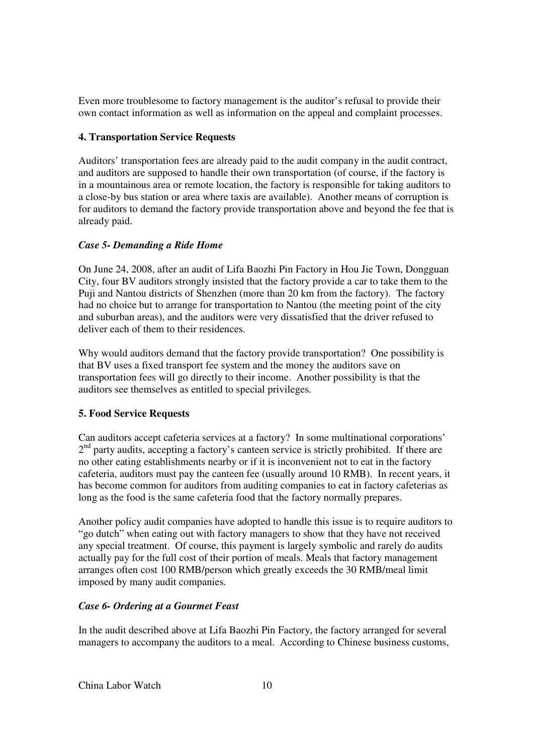Even more troublesome to factory management is the auditor's refusal to provide their own contact information as well as information on the appeal and complaint processes.

## **4. Transportation Service Requests**

Auditors' transportation fees are already paid to the audit company in the audit contract, and auditors are supposed to handle their own transportation (of course, if the factory is in a mountainous area or remote location, the factory is responsible for taking auditors to a close-by bus station or area where taxis are available). Another means of corruption is for auditors to demand the factory provide transportation above and beyond the fee that is already paid.

## *Case 5- Demanding a Ride Home*

On June 24, 2008, after an audit of Lifa Baozhi Pin Factory in Hou Jie Town, Dongguan City, four BV auditors strongly insisted that the factory provide a car to take them to the Puji and Nantou districts of Shenzhen (more than 20 km from the factory). The factory had no choice but to arrange for transportation to Nantou (the meeting point of the city and suburban areas), and the auditors were very dissatisfied that the driver refused to deliver each of them to their residences.

Why would auditors demand that the factory provide transportation? One possibility is that BV uses a fixed transport fee system and the money the auditors save on transportation fees will go directly to their income. Another possibility is that the auditors see themselves as entitled to special privileges.

# **5. Food Service Requests**

Can auditors accept cafeteria services at a factory? In some multinational corporations' 2<sup>nd</sup> party audits, accepting a factory's canteen service is strictly prohibited. If there are no other eating establishments nearby or if it is inconvenient not to eat in the factory cafeteria, auditors must pay the canteen fee (usually around 10 RMB). In recent years, it has become common for auditors from auditing companies to eat in factory cafeterias as long as the food is the same cafeteria food that the factory normally prepares.

Another policy audit companies have adopted to handle this issue is to require auditors to "go dutch" when eating out with factory managers to show that they have not received any special treatment. Of course, this payment is largely symbolic and rarely do audits actually pay for the full cost of their portion of meals. Meals that factory management arranges often cost 100 RMB/person which greatly exceeds the 30 RMB/meal limit imposed by many audit companies.

### *Case 6- Ordering at a Gourmet Feast*

In the audit described above at Lifa Baozhi Pin Factory, the factory arranged for several managers to accompany the auditors to a meal. According to Chinese business customs,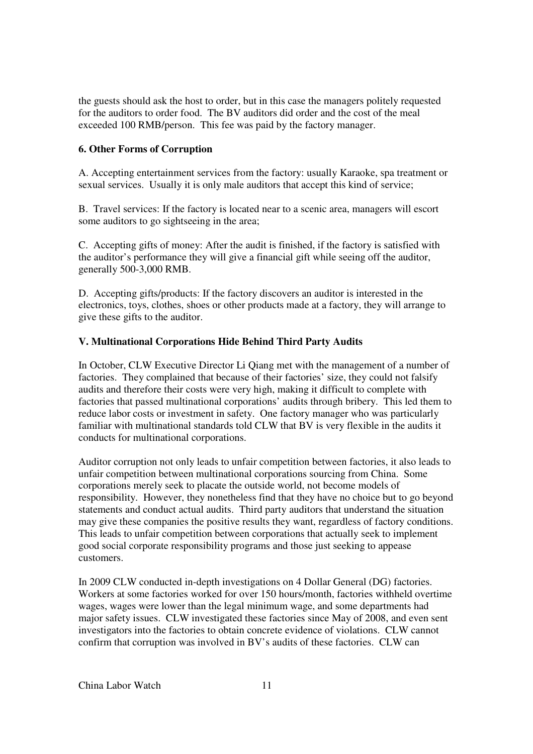the guests should ask the host to order, but in this case the managers politely requested for the auditors to order food. The BV auditors did order and the cost of the meal exceeded 100 RMB/person. This fee was paid by the factory manager.

## **6. Other Forms of Corruption**

A. Accepting entertainment services from the factory: usually Karaoke, spa treatment or sexual services. Usually it is only male auditors that accept this kind of service;

B. Travel services: If the factory is located near to a scenic area, managers will escort some auditors to go sightseeing in the area;

C. Accepting gifts of money: After the audit is finished, if the factory is satisfied with the auditor's performance they will give a financial gift while seeing off the auditor, generally 500-3,000 RMB.

D. Accepting gifts/products: If the factory discovers an auditor is interested in the electronics, toys, clothes, shoes or other products made at a factory, they will arrange to give these gifts to the auditor.

### **V. Multinational Corporations Hide Behind Third Party Audits**

In October, CLW Executive Director Li Qiang met with the management of a number of factories. They complained that because of their factories' size, they could not falsify audits and therefore their costs were very high, making it difficult to complete with factories that passed multinational corporations' audits through bribery. This led them to reduce labor costs or investment in safety. One factory manager who was particularly familiar with multinational standards told CLW that BV is very flexible in the audits it conducts for multinational corporations.

Auditor corruption not only leads to unfair competition between factories, it also leads to unfair competition between multinational corporations sourcing from China. Some corporations merely seek to placate the outside world, not become models of responsibility. However, they nonetheless find that they have no choice but to go beyond statements and conduct actual audits. Third party auditors that understand the situation may give these companies the positive results they want, regardless of factory conditions. This leads to unfair competition between corporations that actually seek to implement good social corporate responsibility programs and those just seeking to appease customers.

In 2009 CLW conducted in-depth investigations on 4 Dollar General (DG) factories. Workers at some factories worked for over 150 hours/month, factories withheld overtime wages, wages were lower than the legal minimum wage, and some departments had major safety issues. CLW investigated these factories since May of 2008, and even sent investigators into the factories to obtain concrete evidence of violations. CLW cannot confirm that corruption was involved in BV's audits of these factories. CLW can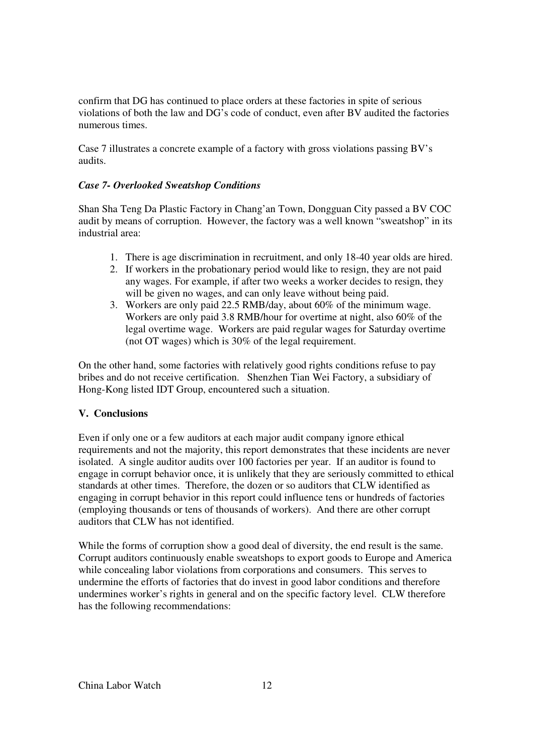confirm that DG has continued to place orders at these factories in spite of serious violations of both the law and DG's code of conduct, even after BV audited the factories numerous times.

Case 7 illustrates a concrete example of a factory with gross violations passing BV's audits.

## *Case 7- Overlooked Sweatshop Conditions*

Shan Sha Teng Da Plastic Factory in Chang'an Town, Dongguan City passed a BV COC audit by means of corruption. However, the factory was a well known "sweatshop" in its industrial area:

- 1. There is age discrimination in recruitment, and only 18-40 year olds are hired.
- 2. If workers in the probationary period would like to resign, they are not paid any wages. For example, if after two weeks a worker decides to resign, they will be given no wages, and can only leave without being paid.
- 3. Workers are only paid 22.5 RMB/day, about 60% of the minimum wage. Workers are only paid 3.8 RMB/hour for overtime at night, also 60% of the legal overtime wage. Workers are paid regular wages for Saturday overtime (not OT wages) which is 30% of the legal requirement.

On the other hand, some factories with relatively good rights conditions refuse to pay bribes and do not receive certification. Shenzhen Tian Wei Factory, a subsidiary of Hong-Kong listed IDT Group, encountered such a situation.

### **V. Conclusions**

Even if only one or a few auditors at each major audit company ignore ethical requirements and not the majority, this report demonstrates that these incidents are never isolated. A single auditor audits over 100 factories per year. If an auditor is found to engage in corrupt behavior once, it is unlikely that they are seriously committed to ethical standards at other times. Therefore, the dozen or so auditors that CLW identified as engaging in corrupt behavior in this report could influence tens or hundreds of factories (employing thousands or tens of thousands of workers). And there are other corrupt auditors that CLW has not identified.

While the forms of corruption show a good deal of diversity, the end result is the same. Corrupt auditors continuously enable sweatshops to export goods to Europe and America while concealing labor violations from corporations and consumers. This serves to undermine the efforts of factories that do invest in good labor conditions and therefore undermines worker's rights in general and on the specific factory level. CLW therefore has the following recommendations: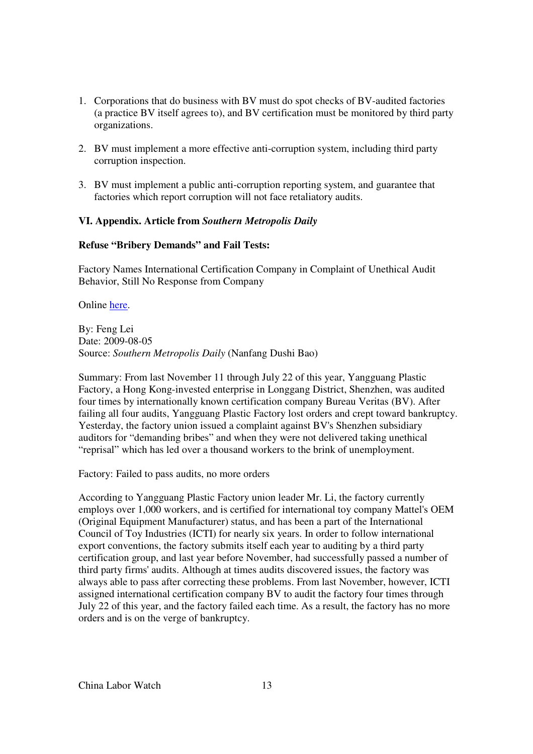- 1. Corporations that do business with BV must do spot checks of BV-audited factories (a practice BV itself agrees to), and BV certification must be monitored by third party organizations.
- 2. BV must implement a more effective anti-corruption system, including third party corruption inspection.
- 3. BV must implement a public anti-corruption reporting system, and guarantee that factories which report corruption will not face retaliatory audits.

#### **VI. Appendix. Article from** *Southern Metropolis Daily*

#### **Refuse "Bribery Demands" and Fail Tests:**

Factory Names International Certification Company in Complaint of Unethical Audit Behavior, Still No Response from Company

Online here.

By: Feng Lei Date: 2009-08-05 Source: *Southern Metropolis Daily* (Nanfang Dushi Bao)

Summary: From last November 11 through July 22 of this year, Yangguang Plastic Factory, a Hong Kong-invested enterprise in Longgang District, Shenzhen, was audited four times by internationally known certification company Bureau Veritas (BV). After failing all four audits, Yangguang Plastic Factory lost orders and crept toward bankruptcy. Yesterday, the factory union issued a complaint against BV's Shenzhen subsidiary auditors for "demanding bribes" and when they were not delivered taking unethical "reprisal" which has led over a thousand workers to the brink of unemployment.

Factory: Failed to pass audits, no more orders

According to Yangguang Plastic Factory union leader Mr. Li, the factory currently employs over 1,000 workers, and is certified for international toy company Mattel's OEM (Original Equipment Manufacturer) status, and has been a part of the International Council of Toy Industries (ICTI) for nearly six years. In order to follow international export conventions, the factory submits itself each year to auditing by a third party certification group, and last year before November, had successfully passed a number of third party firms' audits. Although at times audits discovered issues, the factory was always able to pass after correcting these problems. From last November, however, ICTI assigned international certification company BV to audit the factory four times through July 22 of this year, and the factory failed each time. As a result, the factory has no more orders and is on the verge of bankruptcy.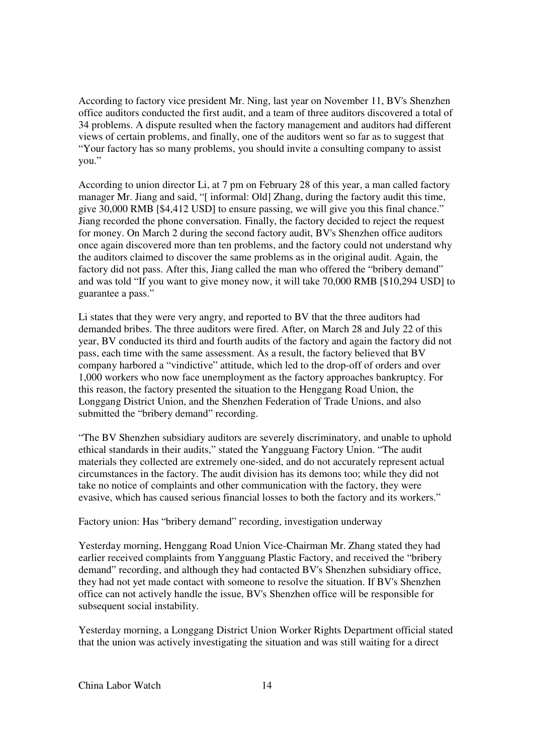According to factory vice president Mr. Ning, last year on November 11, BV's Shenzhen office auditors conducted the first audit, and a team of three auditors discovered a total of 34 problems. A dispute resulted when the factory management and auditors had different views of certain problems, and finally, one of the auditors went so far as to suggest that "Your factory has so many problems, you should invite a consulting company to assist you."

According to union director Li, at 7 pm on February 28 of this year, a man called factory manager Mr. Jiang and said, "[ informal: Old] Zhang, during the factory audit this time, give 30,000 RMB [\$4,412 USD] to ensure passing, we will give you this final chance." Jiang recorded the phone conversation. Finally, the factory decided to reject the request for money. On March 2 during the second factory audit, BV's Shenzhen office auditors once again discovered more than ten problems, and the factory could not understand why the auditors claimed to discover the same problems as in the original audit. Again, the factory did not pass. After this, Jiang called the man who offered the "bribery demand" and was told "If you want to give money now, it will take 70,000 RMB [\$10,294 USD] to guarantee a pass."

Li states that they were very angry, and reported to BV that the three auditors had demanded bribes. The three auditors were fired. After, on March 28 and July 22 of this year, BV conducted its third and fourth audits of the factory and again the factory did not pass, each time with the same assessment. As a result, the factory believed that BV company harbored a "vindictive" attitude, which led to the drop-off of orders and over 1,000 workers who now face unemployment as the factory approaches bankruptcy. For this reason, the factory presented the situation to the Henggang Road Union, the Longgang District Union, and the Shenzhen Federation of Trade Unions, and also submitted the "bribery demand" recording.

"The BV Shenzhen subsidiary auditors are severely discriminatory, and unable to uphold ethical standards in their audits," stated the Yangguang Factory Union. "The audit materials they collected are extremely one-sided, and do not accurately represent actual circumstances in the factory. The audit division has its demons too; while they did not take no notice of complaints and other communication with the factory, they were evasive, which has caused serious financial losses to both the factory and its workers."

### Factory union: Has "bribery demand" recording, investigation underway

Yesterday morning, Henggang Road Union Vice-Chairman Mr. Zhang stated they had earlier received complaints from Yangguang Plastic Factory, and received the "bribery demand" recording, and although they had contacted BV's Shenzhen subsidiary office, they had not yet made contact with someone to resolve the situation. If BV's Shenzhen office can not actively handle the issue, BV's Shenzhen office will be responsible for subsequent social instability.

Yesterday morning, a Longgang District Union Worker Rights Department official stated that the union was actively investigating the situation and was still waiting for a direct